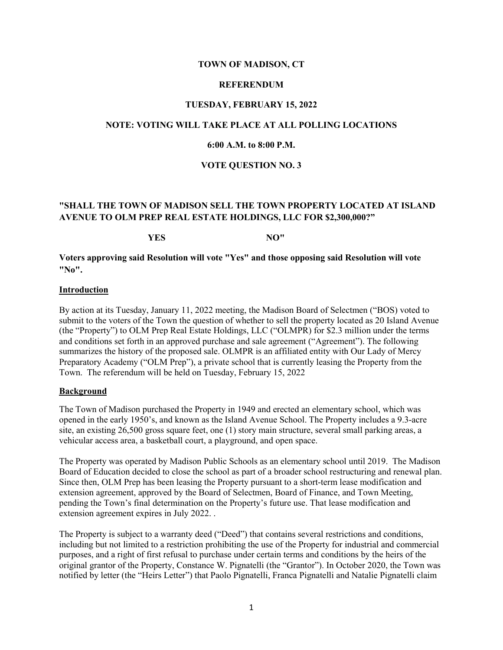## **TOWN OF MADISON, CT**

## **REFERENDUM**

### **TUESDAY, FEBRUARY 15, 2022**

## **NOTE: VOTING WILL TAKE PLACE AT ALL POLLING LOCATIONS**

## **6:00 A.M. to 8:00 P.M.**

## **VOTE QUESTION NO. 3**

# **"SHALL THE TOWN OF MADISON SELL THE TOWN PROPERTY LOCATED AT ISLAND AVENUE TO OLM PREP REAL ESTATE HOLDINGS, LLC FOR \$2,300,000?"**

# **YES NO"**

**Voters approving said Resolution will vote "Yes" and those opposing said Resolution will vote "No".**

### **Introduction**

By action at its Tuesday, January 11, 2022 meeting, the Madison Board of Selectmen ("BOS) voted to submit to the voters of the Town the question of whether to sell the property located as 20 Island Avenue (the "Property") to OLM Prep Real Estate Holdings, LLC ("OLMPR) for \$2.3 million under the terms and conditions set forth in an approved purchase and sale agreement ("Agreement"). The following summarizes the history of the proposed sale. OLMPR is an affiliated entity with Our Lady of Mercy Preparatory Academy ("OLM Prep"), a private school that is currently leasing the Property from the Town. The referendum will be held on Tuesday, February 15, 2022

#### **Background**

The Town of Madison purchased the Property in 1949 and erected an elementary school, which was opened in the early 1950's, and known as the Island Avenue School. The Property includes a 9.3-acre site, an existing 26,500 gross square feet, one (1) story main structure, several small parking areas, a vehicular access area, a basketball court, a playground, and open space.

The Property was operated by Madison Public Schools as an elementary school until 2019. The Madison Board of Education decided to close the school as part of a broader school restructuring and renewal plan. Since then, OLM Prep has been leasing the Property pursuant to a short-term lease modification and extension agreement, approved by the Board of Selectmen, Board of Finance, and Town Meeting, pending the Town's final determination on the Property's future use. That lease modification and extension agreement expires in July 2022. .

The Property is subject to a warranty deed ("Deed") that contains several restrictions and conditions, including but not limited to a restriction prohibiting the use of the Property for industrial and commercial purposes, and a right of first refusal to purchase under certain terms and conditions by the heirs of the original grantor of the Property, Constance W. Pignatelli (the "Grantor"). In October 2020, the Town was notified by letter (the "Heirs Letter") that Paolo Pignatelli, Franca Pignatelli and Natalie Pignatelli claim